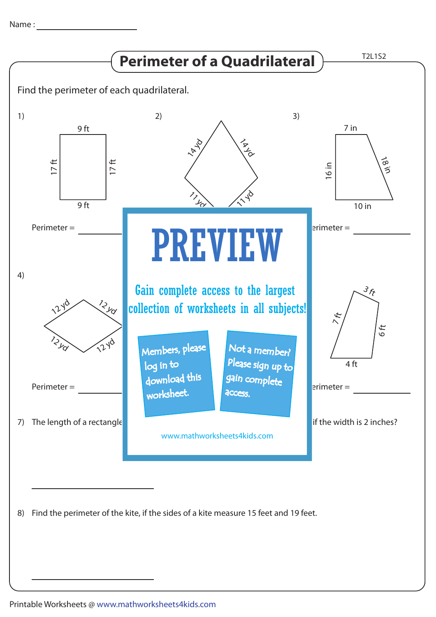